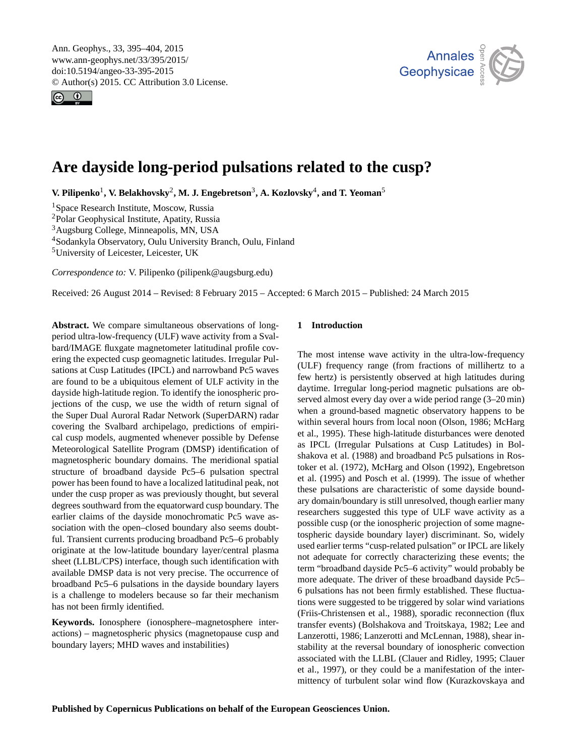<span id="page-0-1"></span>Ann. Geophys., 33, 395–404, 2015 www.ann-geophys.net/33/395/2015/ doi:10.5194/angeo-33-395-2015 © Author(s) 2015. CC Attribution 3.0 License.





# **Are dayside long-period pulsations related to the cusp?**

 $V$ **.** Pilipenko<sup>[1](#page-0-0)</sup>,  $V$ . Belakhovsky<sup>[2](#page-0-0)</sup>, M. J. Engebretson<sup>[3](#page-0-0)</sup>, A. Kozlovsky<sup>[4](#page-0-0)</sup>, and T. Yeoman<sup>[5](#page-0-0)</sup>

Space Research Institute, Moscow, Russia Polar Geophysical Institute, Apatity, Russia Augsburg College, Minneapolis, MN, USA Sodankyla Observatory, Oulu University Branch, Oulu, Finland

<sup>5</sup>University of Leicester, Leicester, UK

*Correspondence to:* V. Pilipenko (pilipenk@augsburg.edu)

Received: 26 August 2014 – Revised: 8 February 2015 – Accepted: 6 March 2015 – Published: 24 March 2015

<span id="page-0-0"></span>**Abstract.** We compare simultaneous observations of longperiod ultra-low-frequency (ULF) wave activity from a Svalbard/IMAGE fluxgate magnetometer latitudinal profile covering the expected cusp geomagnetic latitudes. Irregular Pulsations at Cusp Latitudes (IPCL) and narrowband Pc5 waves are found to be a ubiquitous element of ULF activity in the dayside high-latitude region. To identify the ionospheric projections of the cusp, we use the width of return signal of the Super Dual Auroral Radar Network (SuperDARN) radar covering the Svalbard archipelago, predictions of empirical cusp models, augmented whenever possible by Defense Meteorological Satellite Program (DMSP) identification of magnetospheric boundary domains. The meridional spatial structure of broadband dayside Pc5–6 pulsation spectral power has been found to have a localized latitudinal peak, not under the cusp proper as was previously thought, but several degrees southward from the equatorward cusp boundary. The earlier claims of the dayside monochromatic Pc5 wave association with the open–closed boundary also seems doubtful. Transient currents producing broadband Pc5–6 probably originate at the low-latitude boundary layer/central plasma sheet (LLBL/CPS) interface, though such identification with available DMSP data is not very precise. The occurrence of broadband Pc5–6 pulsations in the dayside boundary layers is a challenge to modelers because so far their mechanism has not been firmly identified.

**Keywords.** Ionosphere (ionosphere–magnetosphere interactions) – magnetospheric physics (magnetopause cusp and boundary layers; MHD waves and instabilities)

# **1 Introduction**

The most intense wave activity in the ultra-low-frequency (ULF) frequency range (from fractions of millihertz to a few hertz) is persistently observed at high latitudes during daytime. Irregular long-period magnetic pulsations are observed almost every day over a wide period range (3–20 min) when a ground-based magnetic observatory happens to be within several hours from local noon (Olson, 1986; McHarg et al., 1995). These high-latitude disturbances were denoted as IPCL (Irregular Pulsations at Cusp Latitudes) in Bolshakova et al. (1988) and broadband Pc5 pulsations in Rostoker et al. (1972), McHarg and Olson (1992), Engebretson et al. (1995) and Posch et al. (1999). The issue of whether these pulsations are characteristic of some dayside boundary domain/boundary is still unresolved, though earlier many researchers suggested this type of ULF wave activity as a possible cusp (or the ionospheric projection of some magnetospheric dayside boundary layer) discriminant. So, widely used earlier terms "cusp-related pulsation" or IPCL are likely not adequate for correctly characterizing these events; the term "broadband dayside Pc5–6 activity" would probably be more adequate. The driver of these broadband dayside Pc5– 6 pulsations has not been firmly established. These fluctuations were suggested to be triggered by solar wind variations (Friis-Christensen et al., 1988), sporadic reconnection (flux transfer events) (Bolshakova and Troitskaya, 1982; Lee and Lanzerotti, 1986; Lanzerotti and McLennan, 1988), shear instability at the reversal boundary of ionospheric convection associated with the LLBL (Clauer and Ridley, 1995; Clauer et al., 1997), or they could be a manifestation of the intermittency of turbulent solar wind flow (Kurazkovskaya and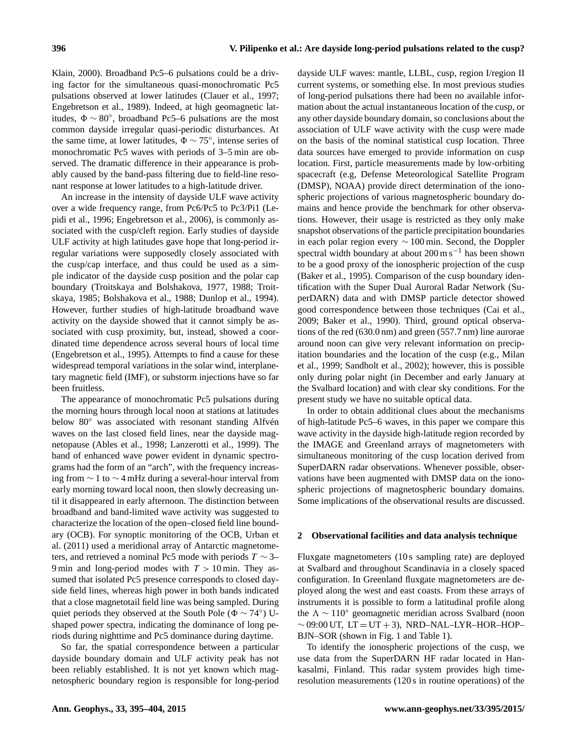Klain, 2000). Broadband Pc5–6 pulsations could be a driving factor for the simultaneous quasi-monochromatic Pc5 pulsations observed at lower latitudes (Clauer et al., 1997; Engebretson et al., 1989). Indeed, at high geomagnetic latitudes,  $\Phi \sim 80^{\circ}$ , broadband Pc5–6 pulsations are the most common dayside irregular quasi-periodic disturbances. At the same time, at lower latitudes,  $\Phi \sim 75^{\circ}$ , intense series of monochromatic Pc5 waves with periods of 3–5 min are observed. The dramatic difference in their appearance is probably caused by the band-pass filtering due to field-line resonant response at lower latitudes to a high-latitude driver.

An increase in the intensity of dayside ULF wave activity over a wide frequency range, from Pc6/Pc5 to Pc3/Pi1 (Lepidi et al., 1996; Engebretson et al., 2006), is commonly associated with the cusp/cleft region. Early studies of dayside ULF activity at high latitudes gave hope that long-period irregular variations were supposedly closely associated with the cusp/cap interface, and thus could be used as a simple indicator of the dayside cusp position and the polar cap boundary (Troitskaya and Bolshakova, 1977, 1988; Troitskaya, 1985; Bolshakova et al., 1988; Dunlop et al., 1994). However, further studies of high-latitude broadband wave activity on the dayside showed that it cannot simply be associated with cusp proximity, but, instead, showed a coordinated time dependence across several hours of local time (Engebretson et al., 1995). Attempts to find a cause for these widespread temporal variations in the solar wind, interplanetary magnetic field (IMF), or substorm injections have so far been fruitless.

The appearance of monochromatic Pc5 pulsations during the morning hours through local noon at stations at latitudes below 80◦ was associated with resonant standing Alfvén waves on the last closed field lines, near the dayside magnetopause (Ables et al., 1998; Lanzerotti et al., 1999). The band of enhanced wave power evident in dynamic spectrograms had the form of an "arch", with the frequency increasing from ∼ 1 to ∼ 4 mHz during a several-hour interval from early morning toward local noon, then slowly decreasing until it disappeared in early afternoon. The distinction between broadband and band-limited wave activity was suggested to characterize the location of the open–closed field line boundary (OCB). For synoptic monitoring of the OCB, Urban et al. (2011) used a meridional array of Antarctic magnetometers, and retrieved a nominal Pc5 mode with periods  $T \sim 3-$ 9 min and long-period modes with  $T > 10$  min. They assumed that isolated Pc5 presence corresponds to closed dayside field lines, whereas high power in both bands indicated that a close magnetotail field line was being sampled. During quiet periods they observed at the South Pole ( $\Phi \sim 74^{\circ}$ ) Ushaped power spectra, indicating the dominance of long periods during nighttime and Pc5 dominance during daytime.

So far, the spatial correspondence between a particular dayside boundary domain and ULF activity peak has not been reliably established. It is not yet known which magnetospheric boundary region is responsible for long-period

dayside ULF waves: mantle, LLBL, cusp, region I/region II current systems, or something else. In most previous studies of long-period pulsations there had been no available information about the actual instantaneous location of the cusp, or any other dayside boundary domain, so conclusions about the association of ULF wave activity with the cusp were made on the basis of the nominal statistical cusp location. Three data sources have emerged to provide information on cusp location. First, particle measurements made by low-orbiting spacecraft (e.g, Defense Meteorological Satellite Program (DMSP), NOAA) provide direct determination of the ionospheric projections of various magnetospheric boundary domains and hence provide the benchmark for other observations. However, their usage is restricted as they only make snapshot observations of the particle precipitation boundaries in each polar region every ∼ 100 min. Second, the Doppler spectral width boundary at about  $200 \text{ m s}^{-1}$  has been shown to be a good proxy of the ionospheric projection of the cusp (Baker et al., 1995). Comparison of the cusp boundary identification with the Super Dual Auroral Radar Network (SuperDARN) data and with DMSP particle detector showed good correspondence between those techniques (Cai et al., 2009; Baker et al., 1990). Third, ground optical observations of the red (630.0 nm) and green (557.7 nm) line aurorae around noon can give very relevant information on precipitation boundaries and the location of the cusp (e.g., Milan et al., 1999; Sandholt et al., 2002); however, this is possible only during polar night (in December and early January at the Svalbard location) and with clear sky conditions. For the present study we have no suitable optical data.

In order to obtain additional clues about the mechanisms of high-latitude Pc5–6 waves, in this paper we compare this wave activity in the dayside high-latitude region recorded by the IMAGE and Greenland arrays of magnetometers with simultaneous monitoring of the cusp location derived from SuperDARN radar observations. Whenever possible, observations have been augmented with DMSP data on the ionospheric projections of magnetospheric boundary domains. Some implications of the observational results are discussed.

## **2 Observational facilities and data analysis technique**

Fluxgate magnetometers (10 s sampling rate) are deployed at Svalbard and throughout Scandinavia in a closely spaced configuration. In Greenland fluxgate magnetometers are deployed along the west and east coasts. From these arrays of instruments it is possible to form a latitudinal profile along the  $\Lambda \sim 110^\circ$  geomagnetic meridian across Svalbard (noon  $\sim$  09:00 UT, LT = UT + 3), NRD–NAL–LYR–HOR–HOP– BJN–SOR (shown in Fig. 1 and Table 1).

To identify the ionospheric projections of the cusp, we use data from the SuperDARN HF radar located in Hankasalmi, Finland. This radar system provides high timeresolution measurements (120 s in routine operations) of the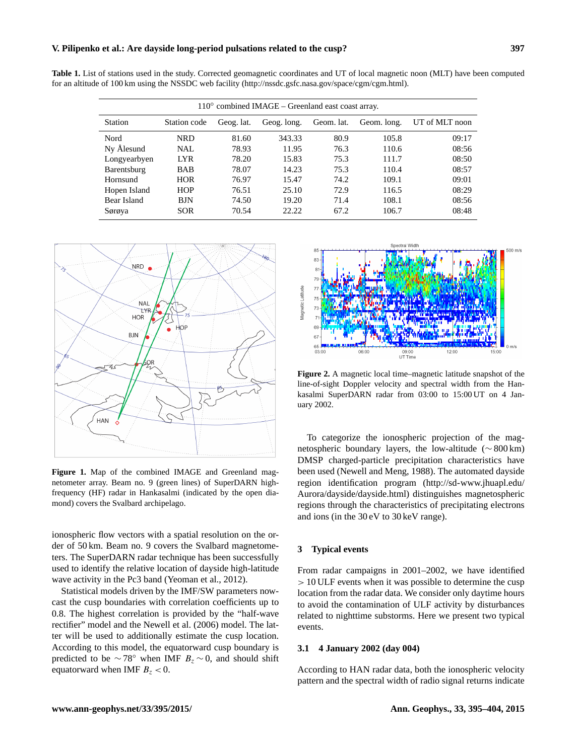## **V. Pilipenko et al.: Are dayside long-period pulsations related to the cusp? 397**

|  |  |  | <b>Table 1.</b> List of stations used in the study. Corrected geomagnetic coordinates and UT of local magnetic noon (MLT) have been computed |  |  |  |  |  |  |  |
|--|--|--|----------------------------------------------------------------------------------------------------------------------------------------------|--|--|--|--|--|--|--|
|  |  |  | for an altitude of 100 km using the NSSDC web facility (http://nssdc.gsfc.nasa.gov/space/cgm/cgm.html).                                      |  |  |  |  |  |  |  |

| $110^{\circ}$ combined IMAGE – Greenland east coast array. |              |            |             |            |             |                |  |  |  |  |
|------------------------------------------------------------|--------------|------------|-------------|------------|-------------|----------------|--|--|--|--|
| Station                                                    | Station code | Geog. lat. | Geog. long. | Geom. lat. | Geom. long. | UT of MLT noon |  |  |  |  |
| Nord                                                       | NRD          | 81.60      | 343.33      | 80.9       | 105.8       | 09:17          |  |  |  |  |
| Ny Ålesund                                                 | NAL.         | 78.93      | 11.95       | 76.3       | 110.6       | 08:56          |  |  |  |  |
| Longyearbyen                                               | <b>LYR</b>   | 78.20      | 15.83       | 75.3       | 111.7       | 08:50          |  |  |  |  |
| Barentsburg                                                | <b>BAB</b>   | 78.07      | 14.23       | 75.3       | 110.4       | 08:57          |  |  |  |  |
| Hornsund                                                   | <b>HOR</b>   | 76.97      | 15.47       | 74.2       | 109.1       | 09:01          |  |  |  |  |
| Hopen Island                                               | <b>HOP</b>   | 76.51      | 25.10       | 72.9       | 116.5       | 08:29          |  |  |  |  |
| Bear Island                                                | <b>BJN</b>   | 74.50      | 19.20       | 71.4       | 108.1       | 08:56          |  |  |  |  |
| Sørøya                                                     | <b>SOR</b>   | 70.54      | 22.22       | 67.2       | 106.7       | 08:48          |  |  |  |  |



**Figure 1.** Map of the combined IMAGE and Greenland magnetometer array. Beam no. 9 (green lines) of SuperDARN highfrequency (HF) radar in Hankasalmi (indicated by the open diamond) covers the Svalbard archipelago.

ionospheric flow vectors with a spatial resolution on the order of 50 km. Beam no. 9 covers the Svalbard magnetometers. The SuperDARN radar technique has been successfully used to identify the relative location of dayside high-latitude wave activity in the Pc3 band (Yeoman et al., 2012).

Statistical models driven by the IMF/SW parameters nowcast the cusp boundaries with correlation coefficients up to 0.8. The highest correlation is provided by the "half-wave rectifier" model and the Newell et al. (2006) model. The latter will be used to additionally estimate the cusp location. According to this model, the equatorward cusp boundary is predicted to be  $\sim$  78° when IMF  $B_z \sim 0$ , and should shift equatorward when IMF  $B_z < 0$ .



**Figure 2.** A magnetic local time–magnetic latitude snapshot of the line-of-sight Doppler velocity and spectral width from the Hankasalmi SuperDARN radar from 03:00 to 15:00 UT on 4 January 2002.

To categorize the ionospheric projection of the magnetospheric boundary layers, the low-altitude (∼ 800 km) DMSP charged-particle precipitation characteristics have been used (Newell and Meng, 1988). The automated dayside region identification program [\(http://sd-www.jhuapl.edu/](http://sd-www.jhuapl.edu/Aurora/dayside/dayside.html) [Aurora/dayside/dayside.html\)](http://sd-www.jhuapl.edu/Aurora/dayside/dayside.html) distinguishes magnetospheric regions through the characteristics of precipitating electrons and ions (in the 30 eV to 30 keV range).

## **3 Typical events**

From radar campaigns in 2001–2002, we have identified > 10 ULF events when it was possible to determine the cusp location from the radar data. We consider only daytime hours to avoid the contamination of ULF activity by disturbances related to nighttime substorms. Here we present two typical events.

## **3.1 4 January 2002 (day 004)**

According to HAN radar data, both the ionospheric velocity pattern and the spectral width of radio signal returns indicate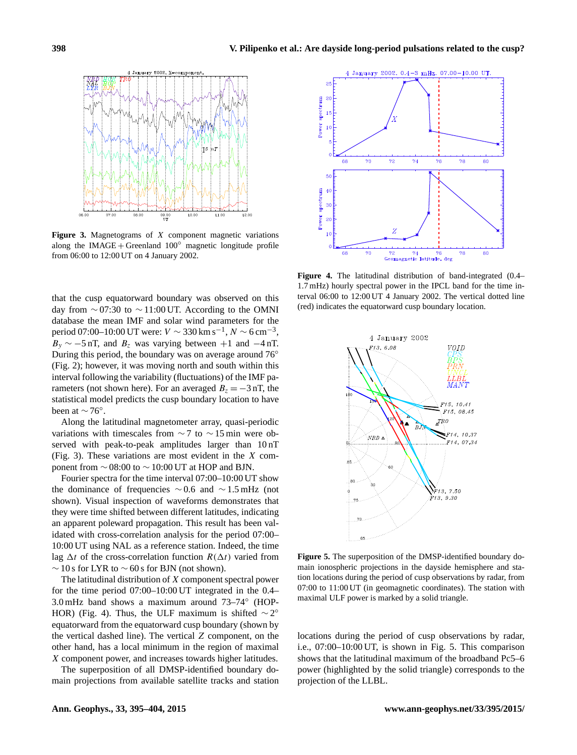

Figure 3. Magnetograms of X component magnetic variations along the IMAGE + Greenland  $100^\circ$  magnetic longitude profile from 06:00 to 12:00 UT on 4 January 2002.

that the cusp equatorward boundary was observed on this day from  $\sim$  07:30 to  $\sim$  11:00 UT. According to the OMNI database the mean IMF and solar wind parameters for the period 07:00–10:00 UT were:  $V \sim 330 \,\rm km\,s^{-1}$ ,  $N \sim 6 \,\rm cm^{-3}$ ,  $B_y \sim -5$  nT, and  $B_z$  was varying between +1 and  $-4$  nT. During this period, the boundary was on average around 76◦ (Fig. 2); however, it was moving north and south within this interval following the variability (fluctuations) of the IMF parameters (not shown here). For an averaged  $B_z = -3$  nT, the statistical model predicts the cusp boundary location to have been at  $\sim$  76°.

Along the latitudinal magnetometer array, quasi-periodic variations with timescales from  $\sim$  7 to  $\sim$  15 min were observed with peak-to-peak amplitudes larger than 10 nT (Fig. 3). These variations are most evident in the  $X$  component from  $\sim$  08:00 to  $\sim$  10:00 UT at HOP and BJN.

Fourier spectra for the time interval 07:00–10:00 UT show the dominance of frequencies ∼ 0.6 and ∼ 1.5 mHz (not shown). Visual inspection of waveforms demonstrates that they were time shifted between different latitudes, indicating an apparent poleward propagation. This result has been validated with cross-correlation analysis for the period 07:00– 10:00 UT using NAL as a reference station. Indeed, the time lag  $\Delta t$  of the cross-correlation function  $R(\Delta t)$  varied from  $\sim$  10 s for LYR to  $\sim$  60 s for BJN (not shown).

The latitudinal distribution of X component spectral power for the time period 07:00–10:00 UT integrated in the 0.4– 3.0 mHz band shows a maximum around 73–74◦ (HOP-HOR) (Fig. 4). Thus, the ULF maximum is shifted  $\sim 2^{\circ}$ equatorward from the equatorward cusp boundary (shown by the vertical dashed line). The vertical Z component, on the other hand, has a local minimum in the region of maximal X component power, and increases towards higher latitudes.

The superposition of all DMSP-identified boundary domain projections from available satellite tracks and station



**Figure 4.** The latitudinal distribution of band-integrated (0.4– 1.7 mHz) hourly spectral power in the IPCL band for the time interval 06:00 to 12:00 UT 4 January 2002. The vertical dotted line (red) indicates the equatorward cusp boundary location.



**Figure 5.** The superposition of the DMSP-identified boundary domain ionospheric projections in the dayside hemisphere and station locations during the period of cusp observations by radar, from 07:00 to 11:00 UT (in geomagnetic coordinates). The station with maximal ULF power is marked by a solid triangle.

locations during the period of cusp observations by radar, i.e., 07:00–10:00 UT, is shown in Fig. 5. This comparison shows that the latitudinal maximum of the broadband Pc5–6 power (highlighted by the solid triangle) corresponds to the projection of the LLBL.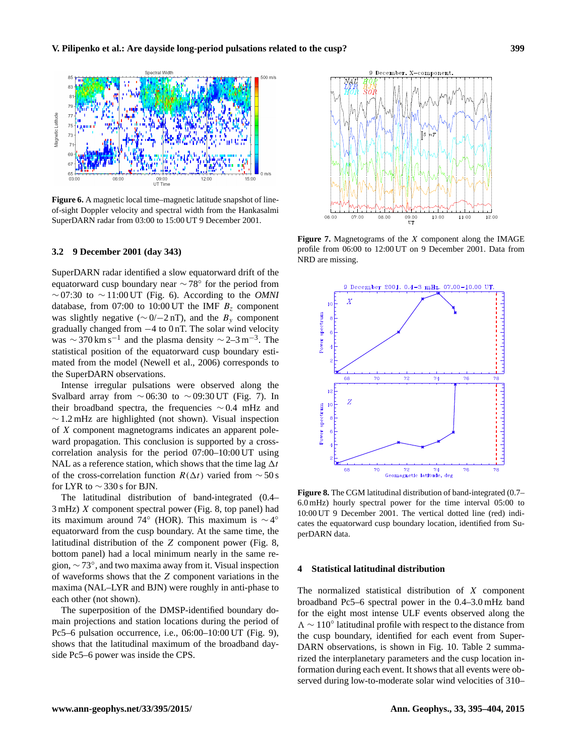

**Figure 6.** A magnetic local time–magnetic latitude snapshot of lineof-sight Doppler velocity and spectral width from the Hankasalmi SuperDARN radar from 03:00 to 15:00 UT 9 December 2001.

## **3.2 9 December 2001 (day 343)**

SuperDARN radar identified a slow equatorward drift of the equatorward cusp boundary near  $\sim$  78° for the period from ∼ 07:30 to ∼ 11:00 UT (Fig. 6). According to the *OMNI* database, from 07:00 to 10:00 UT the IMF  $B<sub>z</sub>$  component was slightly negative ( $\sim$  0/ $-2$  nT), and the  $B_y$  component gradually changed from −4 to 0 nT. The solar wind velocity was  $\sim$  370 km s<sup>-1</sup> and the plasma density  $\sim$  2-3 m<sup>-3</sup>. The statistical position of the equatorward cusp boundary estimated from the model (Newell et al., 2006) corresponds to the SuperDARN observations.

Intense irregular pulsations were observed along the Svalbard array from  $\sim$  06:30 to  $\sim$  09:30 UT (Fig. 7). In their broadband spectra, the frequencies ∼ 0.4 mHz and  $\sim$  1.2 mHz are highlighted (not shown). Visual inspection of X component magnetograms indicates an apparent poleward propagation. This conclusion is supported by a crosscorrelation analysis for the period 07:00–10:00 UT using NAL as a reference station, which shows that the time lag  $\Delta t$ of the cross-correlation function  $R(\Delta t)$  varied from ~50 s for LYR to  $\sim$  330 s for BJN.

The latitudinal distribution of band-integrated (0.4– 3 mHz) X component spectral power (Fig. 8, top panel) had its maximum around 74° (HOR). This maximum is  $\sim$  4° equatorward from the cusp boundary. At the same time, the latitudinal distribution of the Z component power (Fig. 8, bottom panel) had a local minimum nearly in the same region,  $\sim$  73°, and two maxima away from it. Visual inspection of waveforms shows that the Z component variations in the maxima (NAL–LYR and BJN) were roughly in anti-phase to each other (not shown).

The superposition of the DMSP-identified boundary domain projections and station locations during the period of Pc5–6 pulsation occurrence, i.e., 06:00–10:00 UT (Fig. 9), shows that the latitudinal maximum of the broadband dayside Pc5–6 power was inside the CPS.



**Figure 7.** Magnetograms of the X component along the IMAGE profile from 06:00 to 12:00 UT on 9 December 2001. Data from NRD are missing.



**Figure 8.** The CGM latitudinal distribution of band-integrated (0.7– 6.0 mHz) hourly spectral power for the time interval 05:00 to 10:00 UT 9 December 2001. The vertical dotted line (red) indicates the equatorward cusp boundary location, identified from SuperDARN data.

#### **4 Statistical latitudinal distribution**

The normalized statistical distribution of  $X$  component broadband Pc5–6 spectral power in the 0.4–3.0 mHz band for the eight most intense ULF events observed along the 3 ∼ 110◦ latitudinal profile with respect to the distance from the cusp boundary, identified for each event from Super-DARN observations, is shown in Fig. 10. Table 2 summarized the interplanetary parameters and the cusp location information during each event. It shows that all events were observed during low-to-moderate solar wind velocities of 310–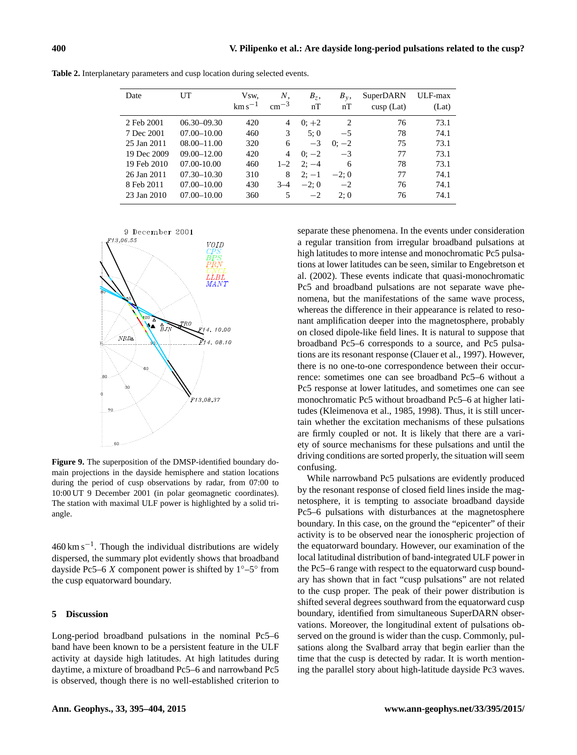| Date        | UT              | Vsw.<br>$\mathrm{km}\,\mathrm{s}^{-1}$ | Ν.<br>$\rm cm^{-3}$ | $B_z$ ,<br>nT | $B_{v}$ ,<br>nT | SuperDARN<br>$cusp$ (Lat) | ULF-max<br>(Lat) |
|-------------|-----------------|----------------------------------------|---------------------|---------------|-----------------|---------------------------|------------------|
| 2 Feb 2001  | $06.30 - 09.30$ | 420                                    | 4                   | $0:+2$        | $\overline{c}$  | 76                        | 73.1             |
| 7 Dec 2001  | $07.00 - 10.00$ | 460                                    | 3                   | 5:0           | $-5$            | 78                        | 74.1             |
| 25 Jan 2011 | $08.00 - 11.00$ | 320                                    | 6                   | $-3$          | $0: -2$         | 75                        | 73.1             |
| 19 Dec 2009 | $09.00 - 12.00$ | 420                                    | 4                   | $0: -2$       | $-3$            | 77                        | 73.1             |
| 19 Feb 2010 | $07.00 - 10.00$ | 460                                    | $1 - 2$             | $2: -4$       | 6               | 78                        | 73.1             |
| 26 Jan 2011 | $07.30 - 10.30$ | 310                                    | 8                   | $2:-1$        | $-2;0$          | 77                        | 74.1             |
| 8 Feb 2011  | $07.00 - 10.00$ | 430                                    | $3 - 4$             | $-2:0$        | $-2$            | 76                        | 74.1             |
| 23 Jan 2010 | $07.00 - 10.00$ | 360                                    | 5                   | $-2$          | 2:0             | 76                        | 74.1             |

**Table 2.** Interplanetary parameters and cusp location during selected events.



**Figure 9.** The superposition of the DMSP-identified boundary domain projections in the dayside hemisphere and station locations during the period of cusp observations by radar, from 07:00 to 10:00 UT 9 December 2001 (in polar geomagnetic coordinates). The station with maximal ULF power is highlighted by a solid triangle.

 $460 \text{ km s}^{-1}$ . Though the individual distributions are widely dispersed, the summary plot evidently shows that broadband dayside Pc5–6 X component power is shifted by  $1^\circ$ –5° from the cusp equatorward boundary.

## **5 Discussion**

Long-period broadband pulsations in the nominal Pc5–6 band have been known to be a persistent feature in the ULF activity at dayside high latitudes. At high latitudes during daytime, a mixture of broadband Pc5–6 and narrowband Pc5 is observed, though there is no well-established criterion to

separate these phenomena. In the events under consideration a regular transition from irregular broadband pulsations at high latitudes to more intense and monochromatic Pc5 pulsations at lower latitudes can be seen, similar to Engebretson et al. (2002). These events indicate that quasi-monochromatic Pc5 and broadband pulsations are not separate wave phenomena, but the manifestations of the same wave process, whereas the difference in their appearance is related to resonant amplification deeper into the magnetosphere, probably on closed dipole-like field lines. It is natural to suppose that broadband Pc5–6 corresponds to a source, and Pc5 pulsations are its resonant response (Clauer et al., 1997). However, there is no one-to-one correspondence between their occurrence: sometimes one can see broadband Pc5–6 without a Pc5 response at lower latitudes, and sometimes one can see monochromatic Pc5 without broadband Pc5–6 at higher latitudes (Kleimenova et al., 1985, 1998). Thus, it is still uncertain whether the excitation mechanisms of these pulsations are firmly coupled or not. It is likely that there are a variety of source mechanisms for these pulsations and until the driving conditions are sorted properly, the situation will seem confusing.

While narrowband Pc5 pulsations are evidently produced by the resonant response of closed field lines inside the magnetosphere, it is tempting to associate broadband dayside Pc5–6 pulsations with disturbances at the magnetosphere boundary. In this case, on the ground the "epicenter" of their activity is to be observed near the ionospheric projection of the equatorward boundary. However, our examination of the local latitudinal distribution of band-integrated ULF power in the Pc5–6 range with respect to the equatorward cusp boundary has shown that in fact "cusp pulsations" are not related to the cusp proper. The peak of their power distribution is shifted several degrees southward from the equatorward cusp boundary, identified from simultaneous SuperDARN observations. Moreover, the longitudinal extent of pulsations observed on the ground is wider than the cusp. Commonly, pulsations along the Svalbard array that begin earlier than the time that the cusp is detected by radar. It is worth mentioning the parallel story about high-latitude dayside Pc3 waves.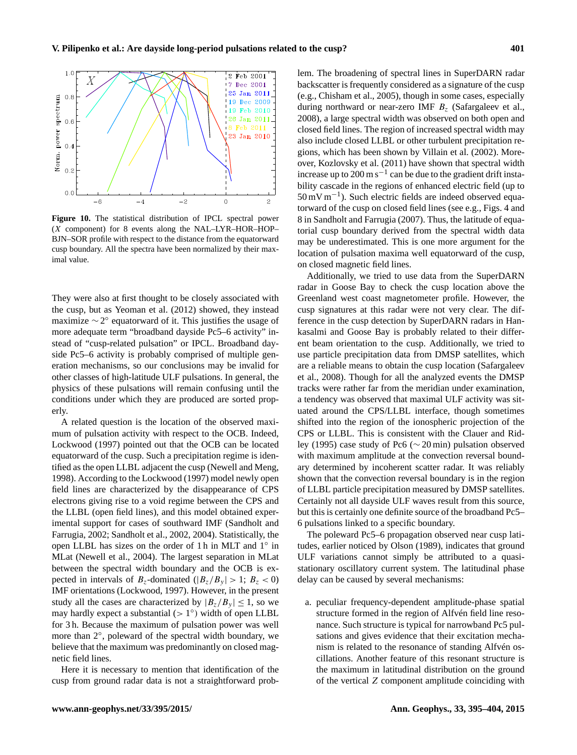

**Figure 10.** The statistical distribution of IPCL spectral power (X component) for 8 events along the NAL–LYR–HOR–HOP– BJN–SOR profile with respect to the distance from the equatorward cusp boundary. All the spectra have been normalized by their maximal value.

They were also at first thought to be closely associated with the cusp, but as Yeoman et al. (2012) showed, they instead maximize  $\sim$  2° equatorward of it. This justifies the usage of more adequate term "broadband dayside Pc5–6 activity" instead of "cusp-related pulsation" or IPCL. Broadband dayside Pc5–6 activity is probably comprised of multiple generation mechanisms, so our conclusions may be invalid for other classes of high-latitude ULF pulsations. In general, the physics of these pulsations will remain confusing until the conditions under which they are produced are sorted properly.

A related question is the location of the observed maximum of pulsation activity with respect to the OCB. Indeed, Lockwood (1997) pointed out that the OCB can be located equatorward of the cusp. Such a precipitation regime is identified as the open LLBL adjacent the cusp (Newell and Meng, 1998). According to the Lockwood (1997) model newly open field lines are characterized by the disappearance of CPS electrons giving rise to a void regime between the CPS and the LLBL (open field lines), and this model obtained experimental support for cases of southward IMF (Sandholt and Farrugia, 2002; Sandholt et al., 2002, 2004). Statistically, the open LLBL has sizes on the order of 1 h in MLT and 1◦ in MLat (Newell et al., 2004). The largest separation in MLat between the spectral width boundary and the OCB is expected in intervals of  $B_z$ -dominated ( $|B_z/B_y| > 1$ ;  $B_z < 0$ ) IMF orientations (Lockwood, 1997). However, in the present study all the cases are characterized by  $|B_z/B_y| \leq 1$ , so we may hardly expect a substantial  $(>1^{\circ})$  width of open LLBL for 3 h. Because the maximum of pulsation power was well more than 2°, poleward of the spectral width boundary, we believe that the maximum was predominantly on closed magnetic field lines.

Here it is necessary to mention that identification of the cusp from ground radar data is not a straightforward problem. The broadening of spectral lines in SuperDARN radar backscatter is frequently considered as a signature of the cusp (e.g., Chisham et al., 2005), though in some cases, especially during northward or near-zero IMF  $B<sub>z</sub>$  (Safargaleev et al., 2008), a large spectral width was observed on both open and closed field lines. The region of increased spectral width may also include closed LLBL or other turbulent precipitation regions, which has been shown by Villain et al. (2002). Moreover, Kozlovsky et al. (2011) have shown that spectral width increase up to  $200 \text{ m s}^{-1}$  can be due to the gradient drift instability cascade in the regions of enhanced electric field (up to 50 mV m−<sup>1</sup> ). Such electric fields are indeed observed equatorward of the cusp on closed field lines (see e.g., Figs. 4 and 8 in Sandholt and Farrugia (2007). Thus, the latitude of equatorial cusp boundary derived from the spectral width data may be underestimated. This is one more argument for the location of pulsation maxima well equatorward of the cusp, on closed magnetic field lines.

Additionally, we tried to use data from the SuperDARN radar in Goose Bay to check the cusp location above the Greenland west coast magnetometer profile. However, the cusp signatures at this radar were not very clear. The difference in the cusp detection by SuperDARN radars in Hankasalmi and Goose Bay is probably related to their different beam orientation to the cusp. Additionally, we tried to use particle precipitation data from DMSP satellites, which are a reliable means to obtain the cusp location (Safargaleev et al., 2008). Though for all the analyzed events the DMSP tracks were rather far from the meridian under examination, a tendency was observed that maximal ULF activity was situated around the CPS/LLBL interface, though sometimes shifted into the region of the ionospheric projection of the CPS or LLBL. This is consistent with the Clauer and Ridley (1995) case study of Pc6 (∼ 20 min) pulsation observed with maximum amplitude at the convection reversal boundary determined by incoherent scatter radar. It was reliably shown that the convection reversal boundary is in the region of LLBL particle precipitation measured by DMSP satellites. Certainly not all dayside ULF waves result from this source, but this is certainly one definite source of the broadband Pc5– 6 pulsations linked to a specific boundary.

The poleward Pc5–6 propagation observed near cusp latitudes, earlier noticed by Olson (1989), indicates that ground ULF variations cannot simply be attributed to a quasistationary oscillatory current system. The latitudinal phase delay can be caused by several mechanisms:

a. peculiar frequency-dependent amplitude-phase spatial structure formed in the region of Alfvén field line resonance. Such structure is typical for narrowband Pc5 pulsations and gives evidence that their excitation mechanism is related to the resonance of standing Alfvén oscillations. Another feature of this resonant structure is the maximum in latitudinal distribution on the ground of the vertical Z component amplitude coinciding with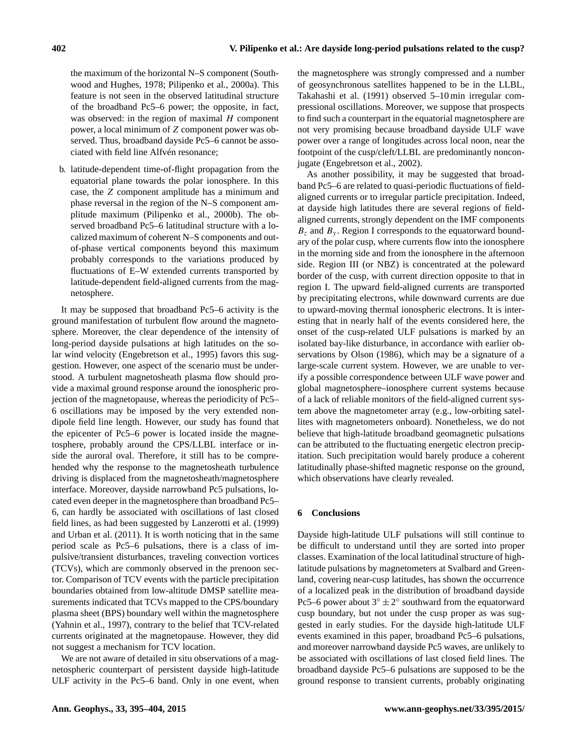the maximum of the horizontal N–S component (Southwood and Hughes, 1978; Pilipenko et al., 2000a). This feature is not seen in the observed latitudinal structure of the broadband Pc5–6 power; the opposite, in fact, was observed: in the region of maximal  $H$  component power, a local minimum of Z component power was observed. Thus, broadband dayside Pc5–6 cannot be associated with field line Alfvén resonance;

b. latitude-dependent time-of-flight propagation from the equatorial plane towards the polar ionosphere. In this case, the Z component amplitude has a minimum and phase reversal in the region of the N–S component amplitude maximum (Pilipenko et al., 2000b). The observed broadband Pc5–6 latitudinal structure with a localized maximum of coherent N–S components and outof-phase vertical components beyond this maximum probably corresponds to the variations produced by fluctuations of E–W extended currents transported by latitude-dependent field-aligned currents from the magnetosphere.

It may be supposed that broadband Pc5–6 activity is the ground manifestation of turbulent flow around the magnetosphere. Moreover, the clear dependence of the intensity of long-period dayside pulsations at high latitudes on the solar wind velocity (Engebretson et al., 1995) favors this suggestion. However, one aspect of the scenario must be understood. A turbulent magnetosheath plasma flow should provide a maximal ground response around the ionospheric projection of the magnetopause, whereas the periodicity of Pc5– 6 oscillations may be imposed by the very extended nondipole field line length. However, our study has found that the epicenter of Pc5–6 power is located inside the magnetosphere, probably around the CPS/LLBL interface or inside the auroral oval. Therefore, it still has to be comprehended why the response to the magnetosheath turbulence driving is displaced from the magnetosheath/magnetosphere interface. Moreover, dayside narrowband Pc5 pulsations, located even deeper in the magnetosphere than broadband Pc5– 6, can hardly be associated with oscillations of last closed field lines, as had been suggested by Lanzerotti et al. (1999) and Urban et al. (2011). It is worth noticing that in the same period scale as Pc5–6 pulsations, there is a class of impulsive/transient disturbances, traveling convection vortices (TCVs), which are commonly observed in the prenoon sector. Comparison of TCV events with the particle precipitation boundaries obtained from low-altitude DMSP satellite measurements indicated that TCVs mapped to the CPS/boundary plasma sheet (BPS) boundary well within the magnetosphere (Yahnin et al., 1997), contrary to the belief that TCV-related currents originated at the magnetopause. However, they did not suggest a mechanism for TCV location.

We are not aware of detailed in situ observations of a magnetospheric counterpart of persistent dayside high-latitude ULF activity in the Pc5–6 band. Only in one event, when

the magnetosphere was strongly compressed and a number of geosynchronous satellites happened to be in the LLBL, Takahashi et al. (1991) observed 5–10 min irregular compressional oscillations. Moreover, we suppose that prospects to find such a counterpart in the equatorial magnetosphere are not very promising because broadband dayside ULF wave power over a range of longitudes across local noon, near the footpoint of the cusp/cleft/LLBL are predominantly nonconjugate (Engebretson et al., 2002).

As another possibility, it may be suggested that broadband Pc5–6 are related to quasi-periodic fluctuations of fieldaligned currents or to irregular particle precipitation. Indeed, at dayside high latitudes there are several regions of fieldaligned currents, strongly dependent on the IMF components  $B<sub>z</sub>$  and  $B<sub>v</sub>$ . Region I corresponds to the equatorward boundary of the polar cusp, where currents flow into the ionosphere in the morning side and from the ionosphere in the afternoon side. Region III (or NBZ) is concentrated at the poleward border of the cusp, with current direction opposite to that in region I. The upward field-aligned currents are transported by precipitating electrons, while downward currents are due to upward-moving thermal ionospheric electrons. It is interesting that in nearly half of the events considered here, the onset of the cusp-related ULF pulsations is marked by an isolated bay-like disturbance, in accordance with earlier observations by Olson (1986), which may be a signature of a large-scale current system. However, we are unable to verify a possible correspondence between ULF wave power and global magnetosphere–ionosphere current systems because of a lack of reliable monitors of the field-aligned current system above the magnetometer array (e.g., low-orbiting satellites with magnetometers onboard). Nonetheless, we do not believe that high-latitude broadband geomagnetic pulsations can be attributed to the fluctuating energetic electron precipitation. Such precipitation would barely produce a coherent latitudinally phase-shifted magnetic response on the ground, which observations have clearly revealed.

## **6 Conclusions**

Dayside high-latitude ULF pulsations will still continue to be difficult to understand until they are sorted into proper classes. Examination of the local latitudinal structure of highlatitude pulsations by magnetometers at Svalbard and Greenland, covering near-cusp latitudes, has shown the occurrence of a localized peak in the distribution of broadband dayside Pc5–6 power about  $3^\circ \pm 2^\circ$  southward from the equatorward cusp boundary, but not under the cusp proper as was suggested in early studies. For the dayside high-latitude ULF events examined in this paper, broadband Pc5–6 pulsations, and moreover narrowband dayside Pc5 waves, are unlikely to be associated with oscillations of last closed field lines. The broadband dayside Pc5–6 pulsations are supposed to be the ground response to transient currents, probably originating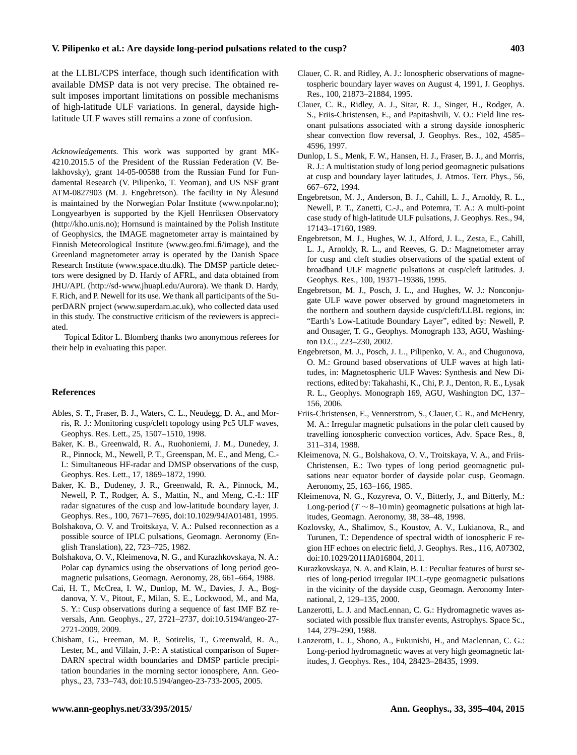at the LLBL/CPS interface, though such identification with available DMSP data is not very precise. The obtained result imposes important limitations on possible mechanisms of high-latitude ULF variations. In general, dayside highlatitude ULF waves still remains a zone of confusion.

*Acknowledgements.* This work was supported by grant MK-4210.2015.5 of the President of the Russian Federation (V. Belakhovsky), grant 14-05-00588 from the Russian Fund for Fundamental Research (V. Pilipenko, T. Yeoman), and US NSF grant ATM-0827903 (M. J. Engebretson). The facility in Ny Ålesund is maintained by the Norwegian Polar Institute [\(www.npolar.no\)](www.npolar.no); Longyearbyen is supported by the Kjell Henriksen Observatory [\(http://kho.unis.no\)](http://kho.unis.no); Hornsund is maintained by the Polish Institute of Geophysics, the IMAGE magnetometer array is maintained by Finnish Meteorological Institute [\(www.geo.fmi.fi/image\)](www.geo.fmi.fi/image), and the Greenland magnetometer array is operated by the Danish Space Research Institute [\(www.space.dtu.dk\)](www.space.dtu.dk). The DMSP particle detectors were designed by D. Hardy of AFRL, and data obtained from JHU/APL [\(http://sd-www.jhuapl.edu/Aurora\)](http://sd-www.jhuapl.edu/Aurora). We thank D. Hardy, F. Rich, and P. Newell for its use. We thank all participants of the SuperDARN project [\(www.superdarn.ac.uk\)](www.superdarn.ac.uk), who collected data used in this study. The constructive criticism of the reviewers is appreciated.

Topical Editor L. Blomberg thanks two anonymous referees for their help in evaluating this paper.

#### **References**

- Ables, S. T., Fraser, B. J., Waters, C. L., Neudegg, D. A., and Morris, R. J.: Monitoring cusp/cleft topology using Pc5 ULF waves, Geophys. Res. Lett., 25, 1507–1510, 1998.
- Baker, K. B., Greenwald, R. A., Ruohoniemi, J. M., Dunedey, J. R., Pinnock, M., Newell, P. T., Greenspan, M. E., and Meng, C.- I.: Simultaneous HF-radar and DMSP observations of the cusp, Geophys. Res. Lett., 17, 1869–1872, 1990.
- Baker, K. B., Dudeney, J. R., Greenwald, R. A., Pinnock, M., Newell, P. T., Rodger, A. S., Mattin, N., and Meng, C.-I.: HF radar signatures of the cusp and low-latitude boundary layer, J. Geophys. Res., 100, 7671–7695, doi[:10.1029/94JA01481,](http://dx.doi.org/10.1029/94JA01481) 1995.
- Bolshakova, O. V. and Troitskaya, V. A.: Pulsed reconnection as a possible source of IPLC pulsations, Geomagn. Aeronomy (English Translation), 22, 723–725, 1982.
- Bolshakova, O. V., Kleimenova, N. G., and Kurazhkovskaya, N. A.: Polar cap dynamics using the observations of long period geomagnetic pulsations, Geomagn. Aeronomy, 28, 661–664, 1988.
- Cai, H. T., McCrea, I. W., Dunlop, M. W., Davies, J. A., Bogdanova, Y. V., Pitout, F., Milan, S. E., Lockwood, M., and Ma, S. Y.: Cusp observations during a sequence of fast IMF BZ reversals, Ann. Geophys., 27, 2721–2737, doi[:10.5194/angeo-27-](http://dx.doi.org/10.5194/angeo-27-2721-2009) [2721-2009,](http://dx.doi.org/10.5194/angeo-27-2721-2009) 2009.
- Chisham, G., Freeman, M. P., Sotirelis, T., Greenwald, R. A., Lester, M., and Villain, J.-P.: A statistical comparison of Super-DARN spectral width boundaries and DMSP particle precipitation boundaries in the morning sector ionosphere, Ann. Geophys., 23, 733–743, doi[:10.5194/angeo-23-733-2005,](http://dx.doi.org/10.5194/angeo-23-733-2005) 2005.
- Clauer, C. R. and Ridley, A. J.: Ionospheric observations of magnetospheric boundary layer waves on August 4, 1991, J. Geophys. Res., 100, 21873–21884, 1995.
- Clauer, C. R., Ridley, A. J., Sitar, R. J., Singer, H., Rodger, A. S., Friis-Christensen, E., and Papitashvili, V. O.: Field line resonant pulsations associated with a strong dayside ionospheric shear convection flow reversal, J. Geophys. Res., 102, 4585– 4596, 1997.
- Dunlop, I. S., Menk, F. W., Hansen, H. J., Fraser, B. J., and Morris, R. J.: A multistation study of long period geomagnetic pulsations at cusp and boundary layer latitudes, J. Atmos. Terr. Phys., 56, 667–672, 1994.
- Engebretson, M. J., Anderson, B. J., Cahill, L. J., Arnoldy, R. L., Newell, P. T., Zanetti, C.-J., and Potemra, T. A.: A multi-point case study of high-latitude ULF pulsations, J. Geophys. Res., 94, 17143–17160, 1989.
- Engebretson, M. J., Hughes, W. J., Alford, J. L., Zesta, E., Cahill, L. J., Arnoldy, R. L., and Reeves, G. D.: Magnetometer array for cusp and cleft studies observations of the spatial extent of broadband ULF magnetic pulsations at cusp/cleft latitudes. J. Geophys. Res., 100, 19371–19386, 1995.
- Engebretson, M. J., Posch, J. L., and Hughes, W. J.: Nonconjugate ULF wave power observed by ground magnetometers in the northern and southern dayside cusp/cleft/LLBL regions, in: "Earth's Low-Latitude Boundary Layer", edited by: Newell, P. and Onsager, T. G., Geophys. Monograph 133, AGU, Washington D.C., 223–230, 2002.
- Engebretson, M. J., Posch, J. L., Pilipenko, V. A., and Chugunova, O. M.: Ground based observations of ULF waves at high latitudes, in: Magnetospheric ULF Waves: Synthesis and New Directions, edited by: Takahashi, K., Chi, P. J., Denton, R. E., Lysak R. L., Geophys. Monograph 169, AGU, Washington DC, 137– 156, 2006.
- Friis-Christensen, E., Vennerstrom, S., Clauer, C. R., and McHenry, M. A.: Irregular magnetic pulsations in the polar cleft caused by travelling ionospheric convection vortices, Adv. Space Res., 8, 311–314, 1988.
- Kleimenova, N. G., Bolshakova, O. V., Troitskaya, V. A., and Friis-Christensen, E.: Two types of long period geomagnetic pulsations near equator border of dayside polar cusp, Geomagn. Aeronomy, 25, 163–166, 1985.
- Kleimenova, N. G., Kozyreva, O. V., Bitterly, J., and Bitterly, M.: Long-period ( $T \sim 8$ –10 min) geomagnetic pulsations at high latitudes, Geomagn. Aeronomy, 38, 38–48, 1998.
- Kozlovsky, A., Shalimov, S., Koustov, A. V., Lukianova, R., and Turunen, T.: Dependence of spectral width of ionospheric F region HF echoes on electric field, J. Geophys. Res., 116, A07302, doi[:10.1029/2011JA016804,](http://dx.doi.org/10.1029/2011JA016804) 2011.
- Kurazkovskaya, N. A. and Klain, B. I.: Peculiar features of burst series of long-period irregular IPCL-type geomagnetic pulsations in the vicinity of the dayside cusp, Geomagn. Aeronomy International, 2, 129–135, 2000.
- Lanzerotti, L. J. and MacLennan, C. G.: Hydromagnetic waves associated with possible flux transfer events, Astrophys. Space Sc., 144, 279–290, 1988.
- Lanzerotti, L. J., Shono, A., Fukunishi, H., and Maclennan, C. G.: Long-period hydromagnetic waves at very high geomagnetic latitudes, J. Geophys. Res., 104, 28423–28435, 1999.